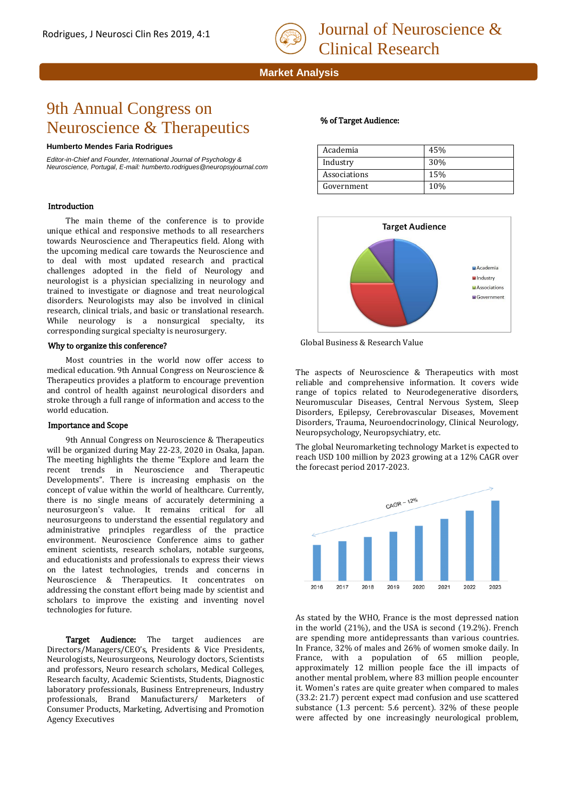

# **Market Analysis**

# 9th Annual Congress on Neuroscience & Therapeutics

#### **Humberto Mendes Faria Rodrigues**

*Editor-in-Chief and Founder, International Journal of Psychology & Neuroscience, Portugal, E-mail: humberto.rodrigues@neuropsyjournal.com*

## Introduction

The main theme of the conference is to provide unique ethical and responsive methods to all researchers towards Neuroscience and Therapeutics field. Along with the upcoming medical care towards the Neuroscience and to deal with most updated research and practical challenges adopted in the field of Neurology and neurologist is a physician specializing in neurology and trained to investigate or diagnose and treat neurological disorders. Neurologists may also be involved in clinical research, clinical trials, and basic or translational research. While neurology is a nonsurgical specialty, its corresponding surgical specialty is neurosurgery.

## Why to organize this conference?

Most countries in the world now offer access to medical education. 9th Annual Congress on Neuroscience & Therapeutics provides a platform to encourage prevention and control of health against neurological disorders and stroke through a full range of information and access to the world education.

## Importance and Scope

9th Annual Congress on Neuroscience & Therapeutics will be organized during May 22-23, 2020 in Osaka, Japan. The meeting highlights the theme "Explore and learn the recent trends in Neuroscience and Therapeutic Developments". There is increasing emphasis on the concept of value within the world of healthcare. Currently, there is no single means of accurately determining a neurosurgeon's value. It remains critical for all neurosurgeons to understand the essential regulatory and administrative principles regardless of the practice environment. Neuroscience Conference aims to gather eminent scientists, research scholars, notable surgeons, and educationists and professionals to express their views on the latest technologies, trends and concerns in Neuroscience & Therapeutics. It concentrates on addressing the constant effort being made by scientist and scholars to improve the existing and inventing novel technologies for future.

Target Audience: The target audiences are Directors/Managers/CEO's, Presidents & Vice Presidents, Neurologists, Neurosurgeons, Neurology doctors, Scientists and professors, Neuro research scholars, Medical Colleges, Research faculty, Academic Scientists, Students, Diagnostic laboratory professionals, Business Entrepreneurs, Industry professionals, Brand Manufacturers/ Marketers of Consumer Products, Marketing, Advertising and Promotion Agency Executives

# % of Target Audience:

| Academia     | 45% |
|--------------|-----|
| Industry     | 30% |
| Associations | 15% |
| Government   | 10% |
|              |     |



Global Business & Research Value

The aspects of Neuroscience & Therapeutics with most reliable and comprehensive information. It covers wide range of topics related to Neurodegenerative disorders, Neuromuscular Diseases, Central Nervous System, Sleep Disorders, Epilepsy, Cerebrovascular Diseases, Movement Disorders, Trauma, Neuroendocrinology, Clinical Neurology, Neuropsychology, Neuropsychiatry, etc.

The global Neuromarketing technology Market is expected to reach USD 100 million by 2023 growing at a 12% CAGR over the forecast period 2017-2023.



As stated by the WHO, France is the most depressed nation in the world (21%), and the USA is second (19.2%). French are spending more antidepressants than various countries. In France, 32% of males and 26% of women smoke daily. In France, with a population of 65 million people, approximately 12 million people face the ill impacts of another mental problem, where 83 million people encounter it. Women's rates are quite greater when compared to males (33.2: 21.7) percent expect mad confusion and use scattered substance (1.3 percent: 5.6 percent). 32% of these people were affected by one increasingly neurological problem,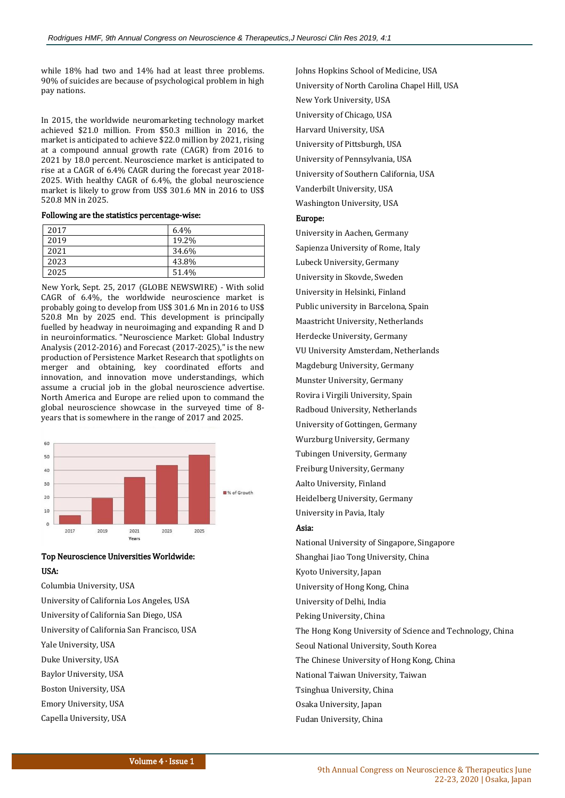while 18% had two and 14% had at least three problems. 90% of suicides are because of psychological problem in high pay nations.

In 2015, the worldwide neuromarketing technology market achieved \$21.0 million. From \$50.3 million in 2016, the market is anticipated to achieve \$22.0 million by 2021, rising at a compound annual growth rate (CAGR) from 2016 to 2021 by 18.0 percent. Neuroscience market is anticipated to rise at a CAGR of 6.4% CAGR during the forecast year 2018- 2025. With healthy CAGR of 6.4%, the global neuroscience market is likely to grow from US\$ 301.6 MN in 2016 to US\$ 520.8 MN in 2025.

Following are the statistics percentage-wise:

| 2017 | $6.4\%$ |
|------|---------|
| 2019 | 19.2%   |
| 2021 | 34.6%   |
| 2023 | 43.8%   |
| 2025 | 51.4%   |

 New York, Sept. 25, 2017 (GLOBE NEWSWIRE) - With solid CAGR of 6.4%, the worldwide neuroscience market is probably going to develop from US\$ 301.6 Mn in 2016 to US\$ 520.8 Mn by 2025 end. This development is principally fuelled by headway in neuroimaging and expanding R and D in neuroinformatics. "Neuroscience Market: Global Industry Analysis (2012-2016) and Forecast (2017-2025)," is the new production of Persistence Market Research that spotlights on merger and obtaining, key coordinated efforts and innovation, and innovation move understandings, which assume a crucial job in the global neuroscience advertise. North America and Europe are relied upon to command the global neuroscience showcase in the surveyed time of 8 years that is somewhere in the range of 2017 and 2025.



# Top Neuroscience Universities Worldwide: USA:

Columbia University, USA University of California Los Angeles, USA University of California San Diego, USA University of California San Francisco, USA Yale University, USA Duke University, USA Baylor University, USA Boston University, USA Emory University, USA Capella University, USA

Johns Hopkins School of Medicine, USA University of North Carolina Chapel Hill, USA New York University, USA University of Chicago, USA Harvard University, USA University of Pittsburgh, USA University of Pennsylvania, USA University of Southern California, USA Vanderbilt University, USA Washington University, USA

# Europe:

University in Aachen, Germany Sapienza University of Rome, Italy Lubeck University, Germany University in Skovde, Sweden University in Helsinki, Finland Public university in Barcelona, Spain Maastricht University, Netherlands Herdecke University, Germany VU University Amsterdam, Netherlands Magdeburg University, Germany Munster University, Germany Rovira i Virgili University, Spain Radboud University, Netherlands University of Gottingen, Germany Wurzburg University, Germany Tubingen University, Germany Freiburg University, Germany Aalto University, Finland Heidelberg University, Germany University in Pavia, Italy

#### Asia:

National University of Singapore, Singapore Shanghai Jiao Tong University, China Kyoto University, Japan University of Hong Kong, China University of Delhi, India Peking University, China The Hong Kong University of Science and Technology, China Seoul National University, South Korea The Chinese University of Hong Kong, China National Taiwan University, Taiwan Tsinghua University, China Osaka University, Japan Fudan University, China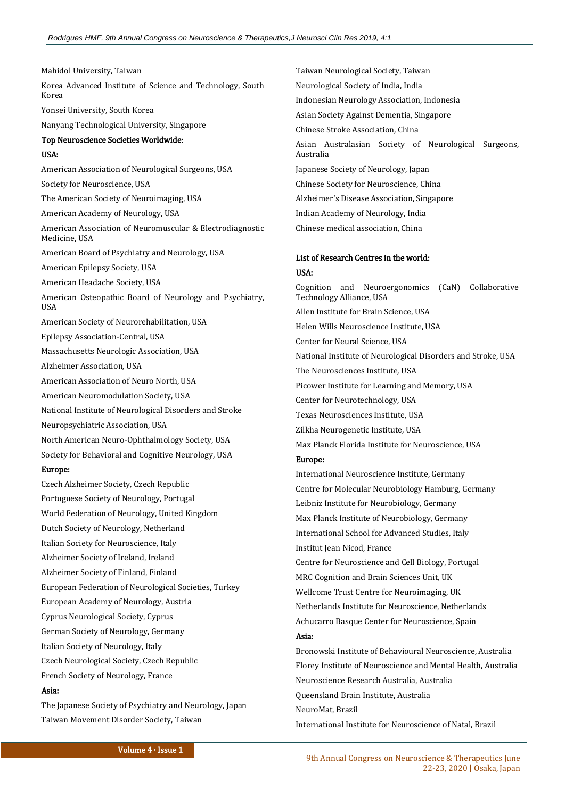Mahidol University, Taiwan Korea Advanced Institute of Science and Technology, South Korea Yonsei University, South Korea Nanyang Technological University, Singapore Top Neuroscience Societies Worldwide: USA: American Association of Neurological Surgeons, USA Society for Neuroscience, USA The American Society of Neuroimaging, USA American Academy of Neurology, USA American Association of Neuromuscular & Electrodiagnostic Medicine, USA American Board of Psychiatry and Neurology, USA American Epilepsy Society, USA American Headache Society, USA American Osteopathic Board of Neurology and Psychiatry, USA American Society of Neurorehabilitation, USA Epilepsy Association-Central, USA Massachusetts Neurologic Association, USA Alzheimer Association, USA American Association of Neuro North, USA American Neuromodulation Society, USA National Institute of Neurological Disorders and Stroke Neuropsychiatric Association, USA North American Neuro-Ophthalmology Society, USA Society for Behavioral and Cognitive Neurology, USA Europe: Czech Alzheimer Society, Czech Republic Portuguese Society of Neurology, Portugal World Federation of Neurology, United Kingdom Dutch Society of Neurology, Netherland Italian Society for Neuroscience, Italy Alzheimer Society of Ireland, Ireland Alzheimer Society of Finland, Finland European Federation of Neurological Societies, Turkey European Academy of Neurology, Austria Cyprus Neurological Society, Cyprus German Society of Neurology, Germany Italian Society of Neurology, Italy Czech Neurological Society, Czech Republic French Society of Neurology, France Asia:

The Japanese Society of Psychiatry and Neurology, Japan Taiwan Movement Disorder Society, Taiwan

Taiwan Neurological Society, Taiwan Neurological Society of India, India Indonesian Neurology Association, Indonesia Asian Society Against Dementia, Singapore Chinese Stroke Association, China Asian Australasian Society of Neurological Surgeons, Australia Japanese Society of Neurology, Japan Chinese Society for Neuroscience, China Alzheimer's Disease Association, Singapore Indian Academy of Neurology, India Chinese medical association, China

# List of Research Centres in the world: USA:

Cognition and Neuroergonomics (CaN) Collaborative Technology Alliance, USA Allen Institute for Brain Science, USA Helen Wills Neuroscience Institute, USA Center for Neural Science, USA National Institute of Neurological Disorders and Stroke, USA The Neurosciences Institute, USA Picower Institute for Learning and Memory, USA Center for Neurotechnology, USA Texas Neurosciences Institute, USA Zilkha Neurogenetic Institute, USA Max Planck Florida Institute for Neuroscience, USA Europe: International Neuroscience Institute, Germany Centre for Molecular Neurobiology Hamburg, Germany Leibniz Institute for Neurobiology, Germany Max Planck Institute of Neurobiology, Germany International School for Advanced Studies, Italy Institut Jean Nicod, France Centre for Neuroscience and Cell Biology, Portugal MRC Cognition and Brain Sciences Unit, UK Wellcome Trust Centre for Neuroimaging, UK Netherlands Institute for Neuroscience, Netherlands Achucarro Basque Center for Neuroscience, Spain Asia: Bronowski Institute of Behavioural Neuroscience, Australia Florey Institute of Neuroscience and Mental Health, Australia Neuroscience Research Australia, Australia Queensland Brain Institute, Australia NeuroMat, Brazil